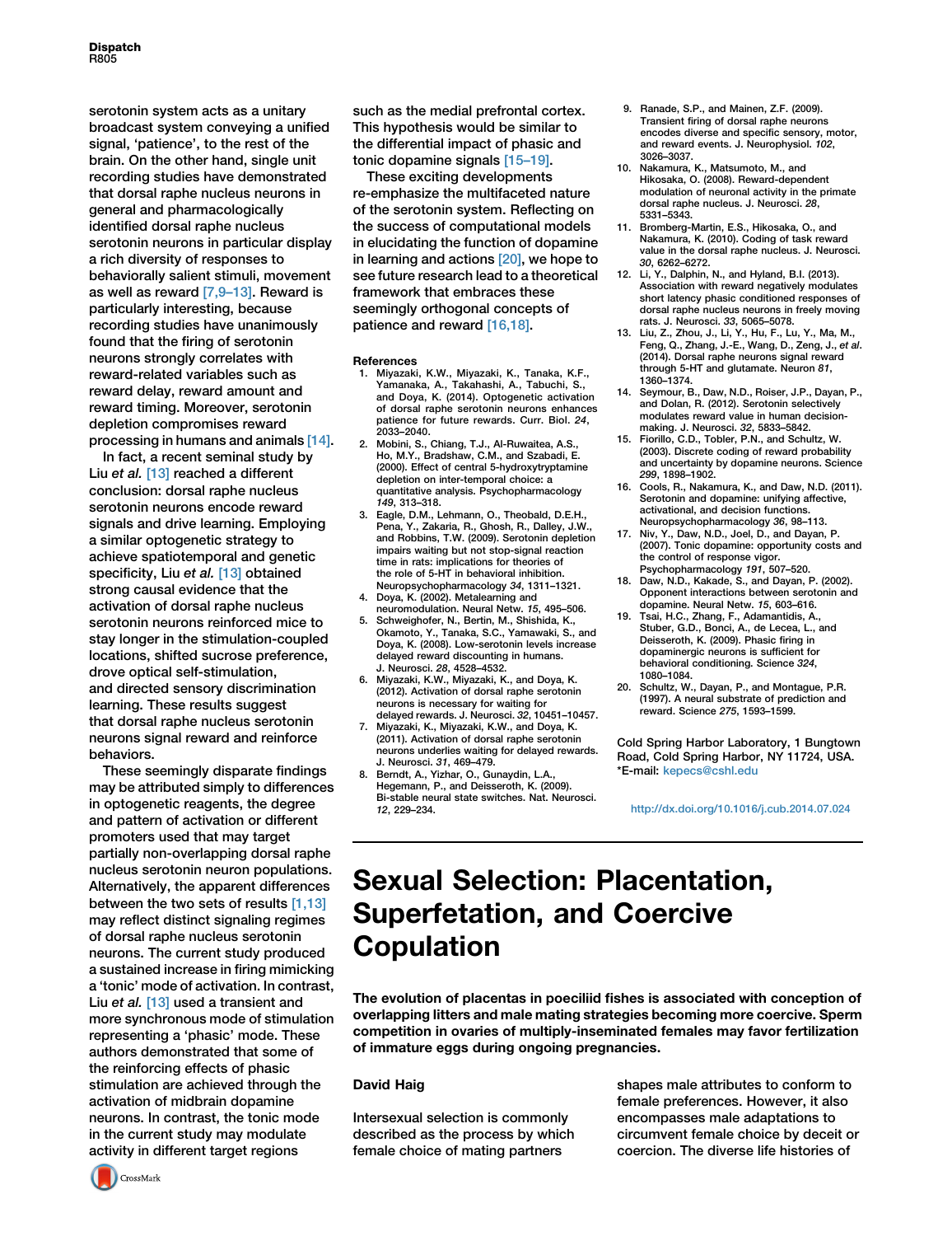**Dispatch** R805

serotonin system acts as a unitary broadcast system conveying a unified signal, 'patience', to the rest of the brain. On the other hand, single unit recording studies have demonstrated that dorsal raphe nucleus neurons in general and pharmacologically identified dorsal raphe nucleus serotonin neurons in particular display a rich diversity of responses to behaviorally salient stimuli, movement as well as reward [\[7,9–13\].](#page-0-0) Reward is particularly interesting, because recording studies have unanimously found that the firing of serotonin neurons strongly correlates with reward-related variables such as reward delay, reward amount and reward timing. Moreover, serotonin depletion compromises reward processing in humans and animals [\[14\]](#page-0-1).

In fact, a recent seminal study by Liu et al. [\[13\]](#page-0-2) reached a different conclusion: dorsal raphe nucleus serotonin neurons encode reward signals and drive learning. Employing a similar optogenetic strategy to achieve spatiotemporal and genetic specificity, Liu et al. [\[13\]](#page-0-2) obtained strong causal evidence that the activation of dorsal raphe nucleus serotonin neurons reinforced mice to stay longer in the stimulation-coupled locations, shifted sucrose preference, drove optical self-stimulation, and directed sensory discrimination learning. These results suggest that dorsal raphe nucleus serotonin neurons signal reward and reinforce behaviors.

These seemingly disparate findings may be attributed simply to differences in optogenetic reagents, the degree and pattern of activation or different promoters used that may target partially non-overlapping dorsal raphe nucleus serotonin neuron populations. Alternatively, the apparent differences between the two sets of results [\[1,13\]](#page-0-3) may reflect distinct signaling regimes of dorsal raphe nucleus serotonin neurons. The current study produced a sustained increase in firing mimicking a 'tonic' mode of activation. In contrast, Liu et al. [\[13\]](#page-0-2) used a transient and more synchronous mode of stimulation representing a 'phasic' mode. These authors demonstrated that some of the reinforcing effects of phasic stimulation are achieved through the activation of midbrain dopamine neurons. In contrast, the tonic mode in the current study may modulate activity in different target regions

such as the medial prefrontal cortex. This hypothesis would be similar to the differential impact of phasic and tonic dopamine signals [\[15–19\]](#page-0-4).

These exciting developments re-emphasize the multifaceted nature of the serotonin system. Reflecting on the success of computational models in elucidating the function of dopamine in learning and actions [\[20\]](#page-0-5), we hope to see future research lead to a theoretical framework that embraces these seemingly orthogonal concepts of patience and reward [\[16,18\].](#page-0-6)

#### **References**

- <span id="page-0-3"></span>1. Miyazaki, K.W., Miyazaki, K., Tanaka, K.F., Yamanaka, A., Takahashi, A., Tabuchi, S., and Doya, K. (2014). Optogenetic activation of dorsal raphe serotonin neurons enhances patience for future rewards. Curr. Biol. 24, 2033–2040.
- 2. Mobini, S., Chiang, T.J., Al-Ruwaitea, A.S. Ho, M.Y., Bradshaw, C.M., and Szabadi, E. (2000). Effect of central 5-hydroxytryptamine depletion on inter-temporal choice: a quantitative analysis. Psychopharmacology 149, 313–318.
- 3. Eagle, D.M., Lehmann, O., Theobald, D.E.H., Pena, Y., Zakaria, R., Ghosh, R., Dalley, J.W., and Robbins, T.W. (2009). Serotonin depletion impairs waiting but not stop-signal reaction time in rats: implications for theories of the role of 5-HT in behavioral inhibition. Neuropsychopharmacology 34, 1311–1321.
- 4. Doya, K. (2002). Metalearning and neuromodulation. Neural Netw. 15, 495–506.
- 5. Schweighofer, N., Bertin, M., Shishida, K., Okamoto, Y., Tanaka, S.C., Yamawaki, S., and Doya, K. (2008). Low-serotonin levels increase delayed reward discounting in humans. J. Neurosci. 28, 4528–4532.
- 6. Miyazaki, K.W., Miyazaki, K., and Doya, K. (2012). Activation of dorsal raphe serotonin neurons is necessary for waiting for delayed rewards. J. Neurosci. 32, 10451–10457.
- <span id="page-0-0"></span>7. Miyazaki, K., Miyazaki, K.W., and Doya, K. (2011). Activation of dorsal raphe serotonin neurons underlies waiting for delayed rewards. J. Neurosci. 31, 469–479.
- Berndt, A., Yizhar, O., Gunaydin, L.A. Hegemann, P., and Deisseroth, K. (2009). Bi-stable neural state switches. Nat. Neurosci. 12, 229–234.
- 9. Ranade, S.P., and Mainen, Z.F. (2009). Transient firing of dorsal raphe neurons encodes diverse and specific sensory, motor, and reward events. J. Neurophysiol. 102, 3026–3037.
- 10. Nakamura, K., Matsumoto, M., and Hikosaka, O. (2008). Reward-dependent modulation of neuronal activity in the primate dorsal raphe nucleus. J. Neurosci. 28, 5331–5343.
- 11. Bromberg-Martin, E.S., Hikosaka, O., and Nakamura, K. (2010). Coding of task reward value in the dorsal raphe nucleus. J. Neurosci. 30, 6262–6272.
- 12. Li, Y., Dalphin, N., and Hyland, B.I. (2013). Association with reward negatively modulates short latency phasic conditioned responses of dorsal raphe nucleus neurons in freely moving rats. J. Neurosci. 33, 5065–5078.
- <span id="page-0-2"></span>13. Liu, Z., Zhou, J., Li, Y., Hu, F., Lu, Y., Ma, M., Feng, Q., Zhang, J.-E., Wang, D., Zeng, J., et al. (2014). Dorsal raphe neurons signal reward through 5-HT and glutamate. Neuron 81, 1360–1374.
- <span id="page-0-1"></span>14. Seymour, B., Daw, N.D., Roiser, J.P., Dayan, P., and Dolan, R. (2012). Serotonin selectively modulates reward value in human decisionmaking. J. Neurosci. 32, 5833–5842.
- <span id="page-0-4"></span>15. Fiorillo, C.D., Tobler, P.N., and Schultz, W. (2003). Discrete coding of reward probability and uncertainty by dopamine neurons. Science 299, 1898–1902.
- <span id="page-0-6"></span>16. Cools, R., Nakamura, K., and Daw, N.D. (2011). Serotonin and dopamine: unifying affective, activational, and decision functions. Neuropsychopharmacology 36, 98–113.
- 17. Niv, Y., Daw, N.D., Joel, D., and Dayan, P. (2007). Tonic dopamine: opportunity costs and the control of response vigor. Psychopharmacology 191, 507–520.
- 18. Daw, N.D., Kakade, S., and Dayan, P. (2002). Opponent interactions between serotonin and dopamine. Neural Netw. 15, 603–616.
- 19. Tsai, H.C., Zhang, F., Adamantidis, A., Stuber, G.D., Bonci, A., de Lecea, L., and Deisseroth, K. (2009). Phasic firing in dopaminergic neurons is sufficient for behavioral conditioning. Science 324, 1080–1084.
- <span id="page-0-5"></span>20. Schultz, W., Dayan, P., and Montague, P.R. (1997). A neural substrate of prediction and reward. Science 275, 1593–1599.

Cold Spring Harbor Laboratory, 1 Bungtown Road, Cold Spring Harbor, NY 11724, USA. \*E-mail: [kepecs@cshl.edu](mailto:kepecs@cshl.edu)

<http://dx.doi.org/10.1016/j.cub.2014.07.024>

## Sexual Selection: Placentation, Superfetation, and Coercive Copulation

The evolution of placentas in poeciliid fishes is associated with conception of overlapping litters and male mating strategies becoming more coercive. Sperm competition in ovaries of multiply-inseminated females may favor fertilization of immature eggs during ongoing pregnancies.

### David Haig

Intersexual selection is commonly described as the process by which female choice of mating partners

shapes male attributes to conform to female preferences. However, it also encompasses male adaptations to circumvent female choice by deceit or coercion. The diverse life histories of

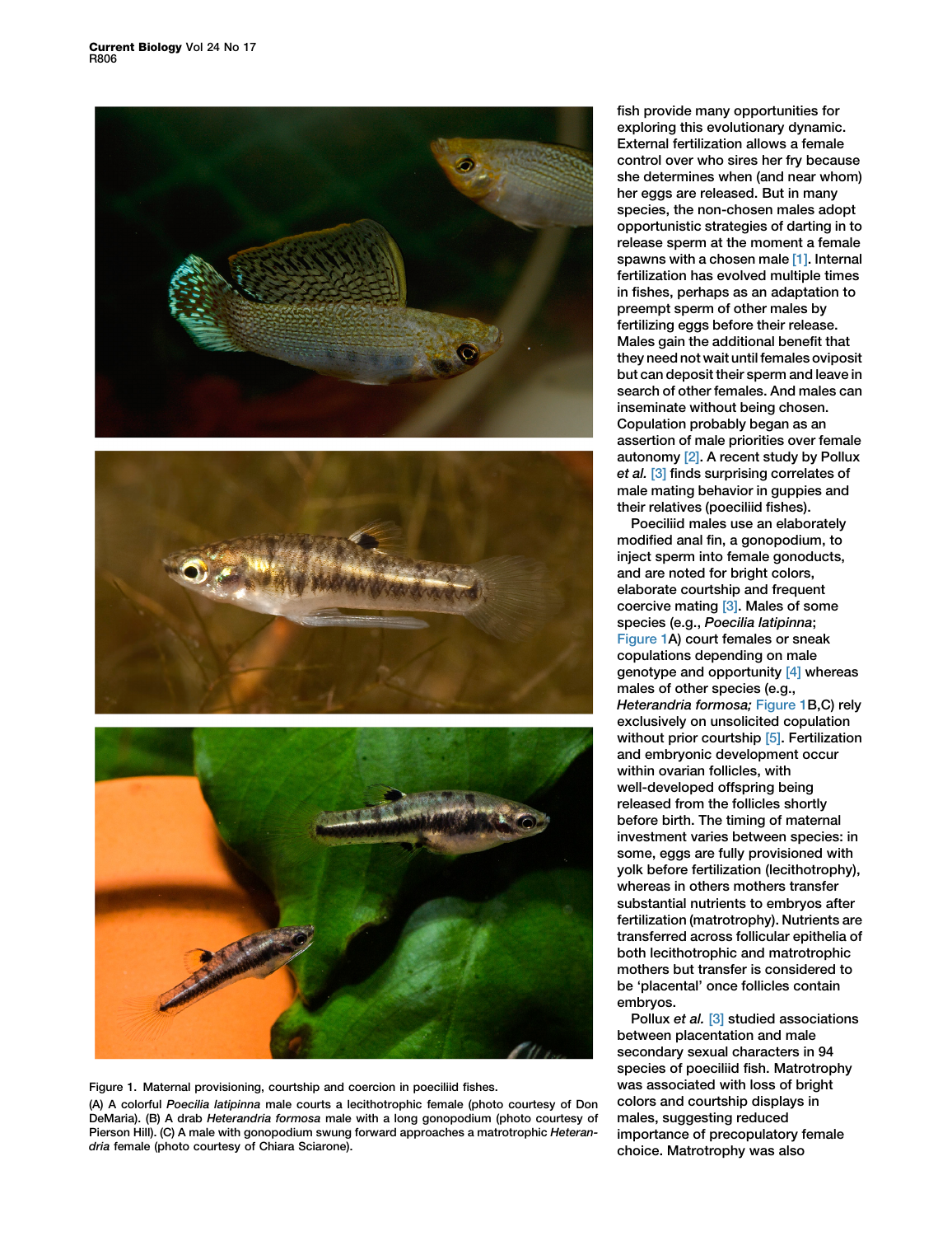





Figure 1. Maternal provisioning, courtship and coercion in poeciliid fishes. (A) A colorful Poecilia latipinna male courts a lecithotrophic female (photo courtesy of Don DeMaria). (B) A drab Heterandria formosa male with a long gonopodium (photo courtesy of Pierson Hill). (C) A male with gonopodium swung forward approaches a matrotrophic Heterandria female (photo courtesy of Chiara Sciarone).

fish provide many opportunities for exploring this evolutionary dynamic. External fertilization allows a female control over who sires her fry because she determines when (and near whom) her eggs are released. But in many species, the non-chosen males adopt opportunistic strategies of darting in to release sperm at the moment a female spawns with a chosen male [\[1\]](#page-2-0). Internal fertilization has evolved multiple times in fishes, perhaps as an adaptation to preempt sperm of other males by fertilizing eggs before their release. Males gain the additional benefit that they need not wait until females oviposit but can deposit their sperm and leave in search of other females. And males can inseminate without being chosen. Copulation probably began as an assertion of male priorities over female autonomy [\[2\]](#page-3-0). A recent study by Pollux et al. [\[3\]](#page-3-1) finds surprising correlates of male mating behavior in guppies and their relatives (poeciliid fishes).

Poeciliid males use an elaborately modified anal fin, a gonopodium, to inject sperm into female gonoducts, and are noted for bright colors. elaborate courtship and frequent coercive mating [\[3\].](#page-3-1) Males of some species (e.g., Poecilia latipinna; Figure 1A) court females or sneak copulations depending on male genotype and opportunity [\[4\]](#page-3-2) whereas males of other species (e.g., Heterandria formosa; Figure 1B,C) rely exclusively on unsolicited copulation without prior courtship [\[5\].](#page-3-3) Fertilization and embryonic development occur within ovarian follicles, with well-developed offspring being released from the follicles shortly before birth. The timing of maternal investment varies between species: in some, eggs are fully provisioned with yolk before fertilization (lecithotrophy), whereas in others mothers transfer substantial nutrients to embryos after fertilization (matrotrophy). Nutrients are transferred across follicular epithelia of both lecithotrophic and matrotrophic mothers but transfer is considered to be 'placental' once follicles contain embryos.

Pollux et al. [\[3\]](#page-3-1) studied associations between placentation and male secondary sexual characters in 94 species of poeciliid fish. Matrotrophy was associated with loss of bright colors and courtship displays in males, suggesting reduced importance of precopulatory female choice. Matrotrophy was also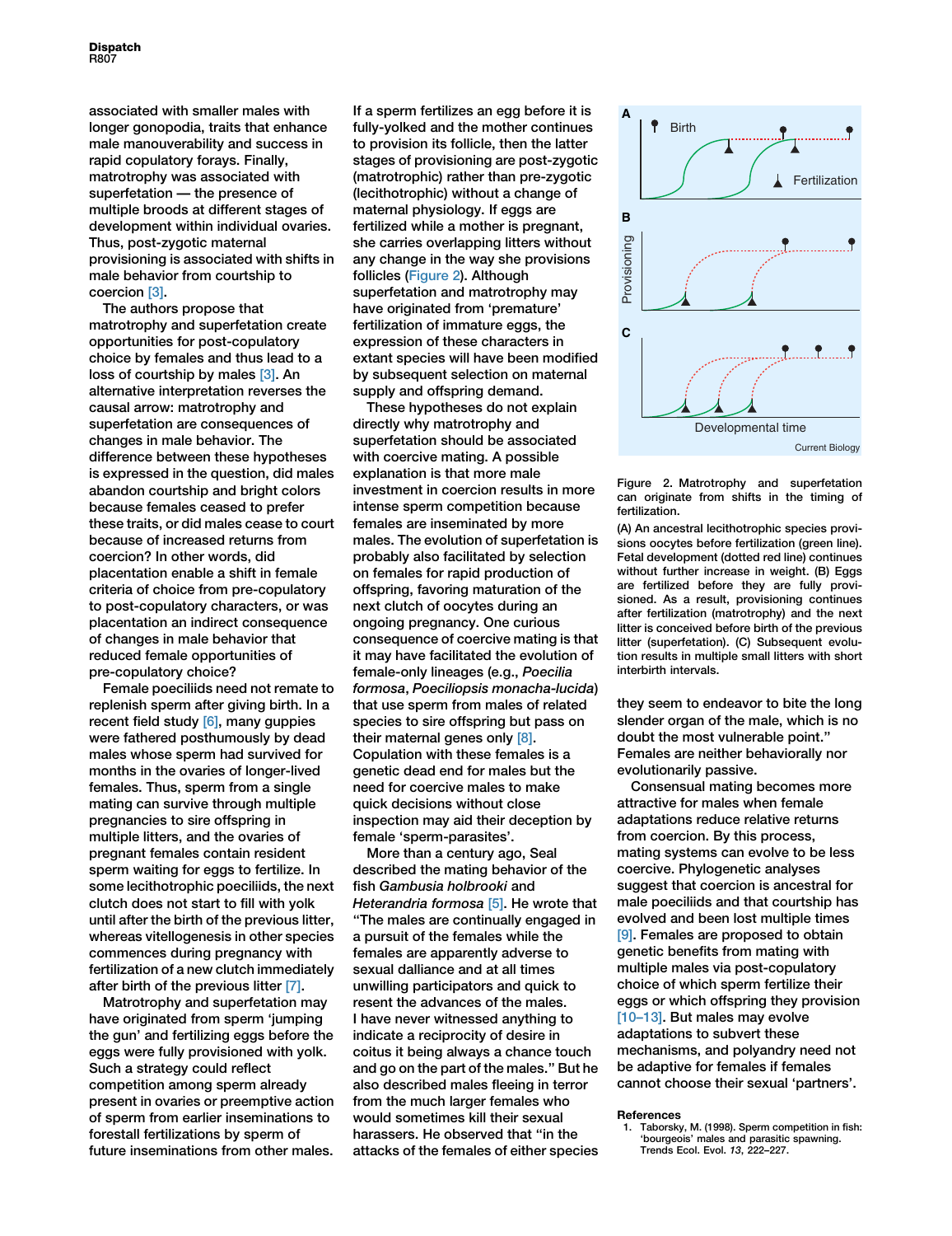associated with smaller males with longer gonopodia, traits that enhance male manouverability and success in rapid copulatory forays. Finally, matrotrophy was associated with superfetation — the presence of multiple broods at different stages of development within individual ovaries. Thus, post-zygotic maternal provisioning is associated with shifts in male behavior from courtship to coercion [\[3\].](#page-3-1)

The authors propose that matrotrophy and superfetation create opportunities for post-copulatory choice by females and thus lead to a loss of courtship by males [\[3\].](#page-3-1) An alternative interpretation reverses the causal arrow: matrotrophy and superfetation are consequences of changes in male behavior. The difference between these hypotheses is expressed in the question, did males abandon courtship and bright colors because females ceased to prefer these traits, or did males cease to court because of increased returns from coercion? In other words, did placentation enable a shift in female criteria of choice from pre-copulatory to post-copulatory characters, or was placentation an indirect consequence of changes in male behavior that reduced female opportunities of pre-copulatory choice?

Female poeciliids need not remate to replenish sperm after giving birth. In a recent field study [\[6\]](#page-3-4), many guppies were fathered posthumously by dead males whose sperm had survived for months in the ovaries of longer-lived females. Thus, sperm from a single mating can survive through multiple pregnancies to sire offspring in multiple litters, and the ovaries of pregnant females contain resident sperm waiting for eggs to fertilize. In some lecithotrophic poeciliids, the next clutch does not start to fill with yolk until after the birth of the previous litter, whereas vitellogenesis in other species commences during pregnancy with fertilization of a new clutch immediately after birth of the previous litter [\[7\].](#page-3-5)

Matrotrophy and superfetation may have originated from sperm 'jumping the gun' and fertilizing eggs before the eggs were fully provisioned with yolk. Such a strategy could reflect competition among sperm already present in ovaries or preemptive action of sperm from earlier inseminations to forestall fertilizations by sperm of future inseminations from other males. If a sperm fertilizes an egg before it is fully-yolked and the mother continues to provision its follicle, then the latter stages of provisioning are post-zygotic (matrotrophic) rather than pre-zygotic (lecithotrophic) without a change of maternal physiology. If eggs are fertilized while a mother is pregnant, she carries overlapping litters without any change in the way she provisions follicles [\(Figure 2\)](#page-2-1). Although superfetation and matrotrophy may have originated from 'premature' fertilization of immature eggs, the expression of these characters in extant species will have been modified by subsequent selection on maternal supply and offspring demand.

These hypotheses do not explain directly why matrotrophy and superfetation should be associated with coercive mating. A possible explanation is that more male investment in coercion results in more intense sperm competition because females are inseminated by more males. The evolution of superfetation is probably also facilitated by selection on females for rapid production of offspring, favoring maturation of the next clutch of oocytes during an ongoing pregnancy. One curious consequence of coercive mating is that it may have facilitated the evolution of female-only lineages (e.g., Poecilia formosa, Poeciliopsis monacha-lucida) that use sperm from males of related species to sire offspring but pass on their maternal genes only [\[8\].](#page-3-6) Copulation with these females is a genetic dead end for males but the need for coercive males to make quick decisions without close inspection may aid their deception by female 'sperm-parasites'.

More than a century ago, Seal described the mating behavior of the fish Gambusia holbrooki and Heterandria formosa [\[5\]](#page-3-3). He wrote that ''The males are continually engaged in a pursuit of the females while the females are apparently adverse to sexual dalliance and at all times unwilling participators and quick to resent the advances of the males. I have never witnessed anything to indicate a reciprocity of desire in coitus it being always a chance touch and go on the part of the males.'' But he also described males fleeing in terror from the much larger females who would sometimes kill their sexual harassers. He observed that ''in the attacks of the females of either species

<span id="page-2-1"></span>

Figure 2. Matrotrophy and superfetation can originate from shifts in the timing of fertilization.

(A) An ancestral lecithotrophic species provisions oocytes before fertilization (green line). Fetal development (dotted red line) continues without further increase in weight. (B) Eggs are fertilized before they are fully provisioned. As a result, provisioning continues after fertilization (matrotrophy) and the next litter is conceived before birth of the previous litter (superfetation). (C) Subsequent evolution results in multiple small litters with short interbirth intervals.

they seem to endeavor to bite the long slender organ of the male, which is no doubt the most vulnerable point.'' Females are neither behaviorally nor evolutionarily passive.

Consensual mating becomes more attractive for males when female adaptations reduce relative returns from coercion. By this process, mating systems can evolve to be less coercive. Phylogenetic analyses suggest that coercion is ancestral for male poeciliids and that courtship has evolved and been lost multiple times [\[9\]](#page-3-7). Females are proposed to obtain genetic benefits from mating with multiple males via post-copulatory choice of which sperm fertilize their eggs or which offspring they provision [\[10–13\].](#page-3-8) But males may evolve adaptations to subvert these mechanisms, and polyandry need not be adaptive for females if females cannot choose their sexual 'partners'.

#### References

<span id="page-2-0"></span>1. Taborsky, M. (1998). Sperm competition in fish: 'bourgeois' males and parasitic spawning. Trends Ecol. Evol. 13, 222–227.